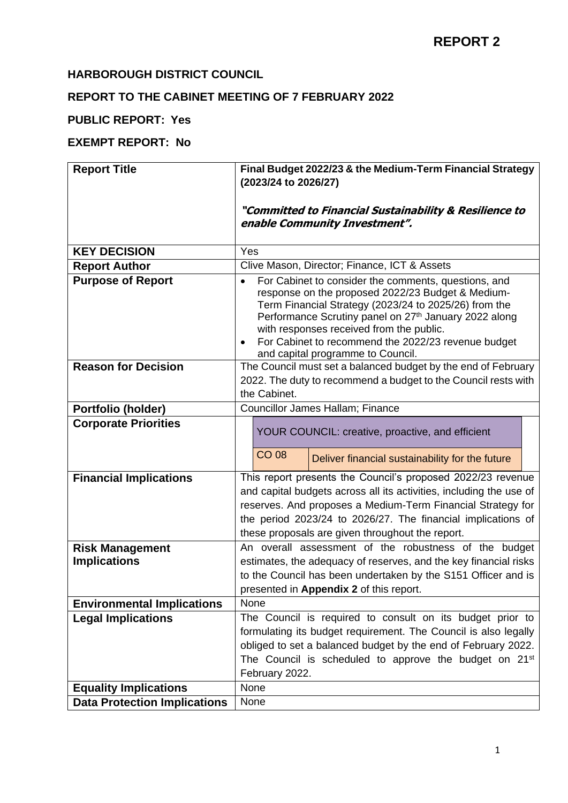### **HARBOROUGH DISTRICT COUNCIL**

## **REPORT TO THE CABINET MEETING OF 7 FEBRUARY 2022**

## **PUBLIC REPORT: Yes**

## **EXEMPT REPORT: No**

| <b>Report Title</b>                 | Final Budget 2022/23 & the Medium-Term Financial Strategy                                                                                                                                                                                                                                                                                                                                                 |  |  |  |  |  |  |  |
|-------------------------------------|-----------------------------------------------------------------------------------------------------------------------------------------------------------------------------------------------------------------------------------------------------------------------------------------------------------------------------------------------------------------------------------------------------------|--|--|--|--|--|--|--|
|                                     | (2023/24 to 2026/27)                                                                                                                                                                                                                                                                                                                                                                                      |  |  |  |  |  |  |  |
|                                     |                                                                                                                                                                                                                                                                                                                                                                                                           |  |  |  |  |  |  |  |
|                                     | "Committed to Financial Sustainability & Resilience to                                                                                                                                                                                                                                                                                                                                                    |  |  |  |  |  |  |  |
|                                     | enable Community Investment".                                                                                                                                                                                                                                                                                                                                                                             |  |  |  |  |  |  |  |
|                                     |                                                                                                                                                                                                                                                                                                                                                                                                           |  |  |  |  |  |  |  |
| <b>KEY DECISION</b>                 | Yes                                                                                                                                                                                                                                                                                                                                                                                                       |  |  |  |  |  |  |  |
| <b>Report Author</b>                | Clive Mason, Director; Finance, ICT & Assets                                                                                                                                                                                                                                                                                                                                                              |  |  |  |  |  |  |  |
| <b>Purpose of Report</b>            | For Cabinet to consider the comments, questions, and<br>$\bullet$<br>response on the proposed 2022/23 Budget & Medium-<br>Term Financial Strategy (2023/24 to 2025/26) from the<br>Performance Scrutiny panel on 27 <sup>th</sup> January 2022 along<br>with responses received from the public.<br>For Cabinet to recommend the 2022/23 revenue budget<br>$\bullet$<br>and capital programme to Council. |  |  |  |  |  |  |  |
| <b>Reason for Decision</b>          | The Council must set a balanced budget by the end of February                                                                                                                                                                                                                                                                                                                                             |  |  |  |  |  |  |  |
|                                     | 2022. The duty to recommend a budget to the Council rests with                                                                                                                                                                                                                                                                                                                                            |  |  |  |  |  |  |  |
|                                     | the Cabinet.                                                                                                                                                                                                                                                                                                                                                                                              |  |  |  |  |  |  |  |
| Portfolio (holder)                  | Councillor James Hallam; Finance                                                                                                                                                                                                                                                                                                                                                                          |  |  |  |  |  |  |  |
| <b>Corporate Priorities</b>         |                                                                                                                                                                                                                                                                                                                                                                                                           |  |  |  |  |  |  |  |
|                                     | YOUR COUNCIL: creative, proactive, and efficient                                                                                                                                                                                                                                                                                                                                                          |  |  |  |  |  |  |  |
|                                     | <b>CO 08</b><br>Deliver financial sustainability for the future                                                                                                                                                                                                                                                                                                                                           |  |  |  |  |  |  |  |
| <b>Financial Implications</b>       | This report presents the Council's proposed 2022/23 revenue                                                                                                                                                                                                                                                                                                                                               |  |  |  |  |  |  |  |
|                                     | and capital budgets across all its activities, including the use of                                                                                                                                                                                                                                                                                                                                       |  |  |  |  |  |  |  |
|                                     | reserves. And proposes a Medium-Term Financial Strategy for                                                                                                                                                                                                                                                                                                                                               |  |  |  |  |  |  |  |
|                                     | the period 2023/24 to 2026/27. The financial implications of                                                                                                                                                                                                                                                                                                                                              |  |  |  |  |  |  |  |
|                                     | these proposals are given throughout the report.                                                                                                                                                                                                                                                                                                                                                          |  |  |  |  |  |  |  |
| <b>Risk Management</b>              | An overall assessment of the robustness of the budget                                                                                                                                                                                                                                                                                                                                                     |  |  |  |  |  |  |  |
| <b>Implications</b>                 | estimates, the adequacy of reserves, and the key financial risks                                                                                                                                                                                                                                                                                                                                          |  |  |  |  |  |  |  |
|                                     | to the Council has been undertaken by the S151 Officer and is                                                                                                                                                                                                                                                                                                                                             |  |  |  |  |  |  |  |
|                                     | presented in Appendix 2 of this report.                                                                                                                                                                                                                                                                                                                                                                   |  |  |  |  |  |  |  |
| <b>Environmental Implications</b>   | <b>None</b>                                                                                                                                                                                                                                                                                                                                                                                               |  |  |  |  |  |  |  |
| <b>Legal Implications</b>           | The Council is required to consult on its budget prior to                                                                                                                                                                                                                                                                                                                                                 |  |  |  |  |  |  |  |
|                                     | formulating its budget requirement. The Council is also legally                                                                                                                                                                                                                                                                                                                                           |  |  |  |  |  |  |  |
|                                     | obliged to set a balanced budget by the end of February 2022.                                                                                                                                                                                                                                                                                                                                             |  |  |  |  |  |  |  |
|                                     | The Council is scheduled to approve the budget on 21 <sup>st</sup>                                                                                                                                                                                                                                                                                                                                        |  |  |  |  |  |  |  |
|                                     | February 2022.                                                                                                                                                                                                                                                                                                                                                                                            |  |  |  |  |  |  |  |
| <b>Equality Implications</b>        | None                                                                                                                                                                                                                                                                                                                                                                                                      |  |  |  |  |  |  |  |
| <b>Data Protection Implications</b> | None                                                                                                                                                                                                                                                                                                                                                                                                      |  |  |  |  |  |  |  |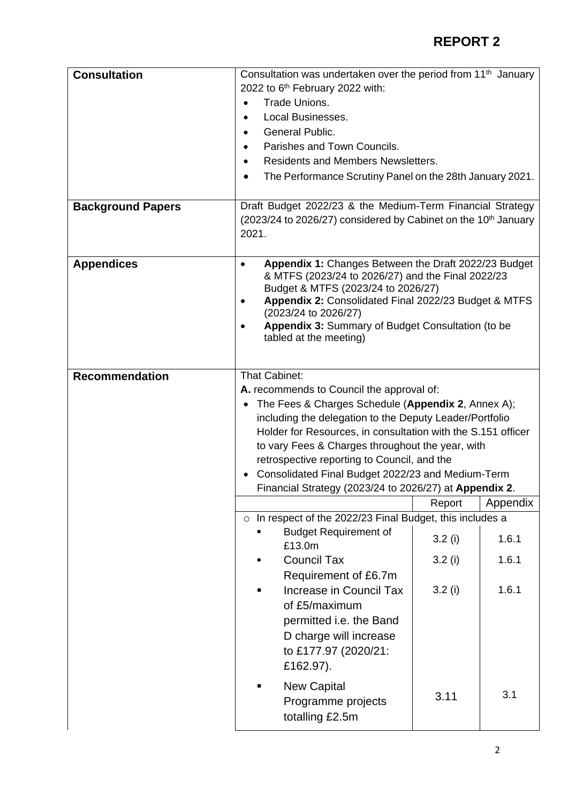| <b>Consultation</b><br><b>Background Papers</b> | Consultation was undertaken over the period from 11 <sup>th</sup> January<br>2022 to 6 <sup>th</sup> February 2022 with:<br>Trade Unions.<br><b>Local Businesses.</b><br><b>General Public.</b><br>Parishes and Town Councils.<br><b>Residents and Members Newsletters.</b><br>٠<br>The Performance Scrutiny Panel on the 28th January 2021.<br>Draft Budget 2022/23 & the Medium-Term Financial Strategy<br>(2023/24 to 2026/27) considered by Cabinet on the 10 <sup>th</sup> January<br>2021. |        |          |  |  |  |  |
|-------------------------------------------------|--------------------------------------------------------------------------------------------------------------------------------------------------------------------------------------------------------------------------------------------------------------------------------------------------------------------------------------------------------------------------------------------------------------------------------------------------------------------------------------------------|--------|----------|--|--|--|--|
| <b>Appendices</b>                               | Appendix 1: Changes Between the Draft 2022/23 Budget<br>$\bullet$<br>& MTFS (2023/24 to 2026/27) and the Final 2022/23<br>Budget & MTFS (2023/24 to 2026/27)<br>Appendix 2: Consolidated Final 2022/23 Budget & MTFS<br>(2023/24 to 2026/27)<br>Appendix 3: Summary of Budget Consultation (to be<br>tabled at the meeting)                                                                                                                                                                      |        |          |  |  |  |  |
| <b>Recommendation</b>                           | That Cabinet:<br>A. recommends to Council the approval of:<br>The Fees & Charges Schedule (Appendix 2, Annex A);<br>including the delegation to the Deputy Leader/Portfolio<br>Holder for Resources, in consultation with the S.151 officer<br>to vary Fees & Charges throughout the year, with<br>retrospective reporting to Council, and the<br>Consolidated Final Budget 2022/23 and Medium-Term<br>Financial Strategy (2023/24 to 2026/27) at Appendix 2.                                    |        |          |  |  |  |  |
|                                                 | o In respect of the 2022/23 Final Budget, this includes a                                                                                                                                                                                                                                                                                                                                                                                                                                        | Report | Appendix |  |  |  |  |
|                                                 | <b>Budget Requirement of</b><br>£13.0m                                                                                                                                                                                                                                                                                                                                                                                                                                                           | 3.2(i) | 1.6.1    |  |  |  |  |
|                                                 | <b>Council Tax</b>                                                                                                                                                                                                                                                                                                                                                                                                                                                                               | 3.2(i) | 1.6.1    |  |  |  |  |
|                                                 | Requirement of £6.7m<br>3.2(i)<br>1.6.1<br>Increase in Council Tax<br>of £5/maximum                                                                                                                                                                                                                                                                                                                                                                                                              |        |          |  |  |  |  |
|                                                 | permitted i.e. the Band<br>D charge will increase<br>to £177.97 (2020/21:<br>£162.97).                                                                                                                                                                                                                                                                                                                                                                                                           |        |          |  |  |  |  |
|                                                 | <b>New Capital</b><br>Programme projects<br>totalling £2.5m                                                                                                                                                                                                                                                                                                                                                                                                                                      | 3.11   | 3.1      |  |  |  |  |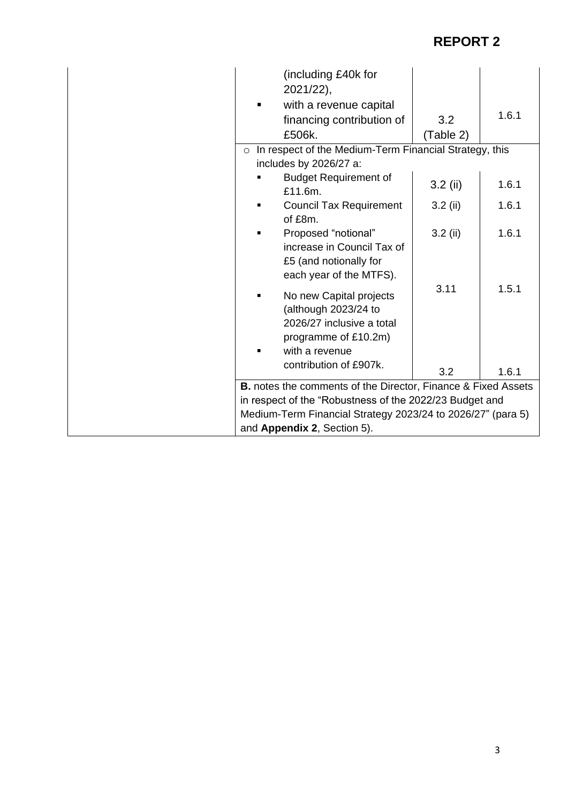| (including £40k for<br>2021/22),                                     |            |       |  |  |  |  |  |
|----------------------------------------------------------------------|------------|-------|--|--|--|--|--|
| with a revenue capital                                               |            | 1.6.1 |  |  |  |  |  |
| financing contribution of                                            | 3.2        |       |  |  |  |  |  |
| £506k.                                                               | (Table 2)  |       |  |  |  |  |  |
| In respect of the Medium-Term Financial Strategy, this<br>$\circ$    |            |       |  |  |  |  |  |
| includes by 2026/27 a:                                               |            |       |  |  |  |  |  |
| <b>Budget Requirement of</b><br>£11.6m.                              | $3.2$ (ii) | 1.6.1 |  |  |  |  |  |
| <b>Council Tax Requirement</b>                                       | $3.2$ (ii) | 1.6.1 |  |  |  |  |  |
| of £8m.                                                              |            |       |  |  |  |  |  |
| Proposed "notional"                                                  | $3.2$ (ii) | 1.6.1 |  |  |  |  |  |
| increase in Council Tax of                                           |            |       |  |  |  |  |  |
| £5 (and notionally for                                               |            |       |  |  |  |  |  |
| each year of the MTFS).                                              |            |       |  |  |  |  |  |
| No new Capital projects                                              | 3.11       | 1.5.1 |  |  |  |  |  |
| (although 2023/24 to                                                 |            |       |  |  |  |  |  |
| 2026/27 inclusive a total                                            |            |       |  |  |  |  |  |
| programme of £10.2m)                                                 |            |       |  |  |  |  |  |
| with a revenue                                                       |            |       |  |  |  |  |  |
| contribution of £907k.                                               | 3.2        | 1.6.1 |  |  |  |  |  |
| <b>B.</b> notes the comments of the Director, Finance & Fixed Assets |            |       |  |  |  |  |  |
| in respect of the "Robustness of the 2022/23 Budget and              |            |       |  |  |  |  |  |
| Medium-Term Financial Strategy 2023/24 to 2026/27" (para 5)          |            |       |  |  |  |  |  |
| and Appendix 2, Section 5).                                          |            |       |  |  |  |  |  |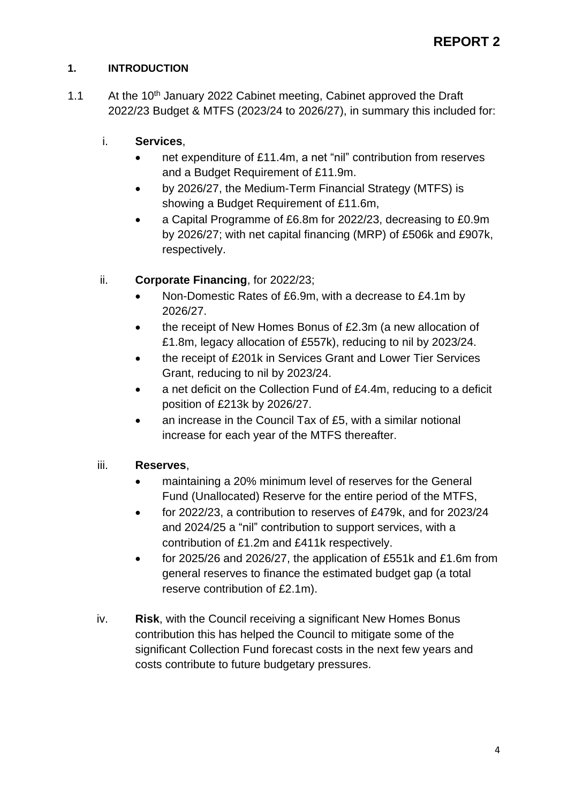### **1. INTRODUCTION**

1.1 At the 10<sup>th</sup> January 2022 Cabinet meeting, Cabinet approved the Draft 2022/23 Budget & MTFS (2023/24 to 2026/27), in summary this included for:

## i. **Services**,

- net expenditure of £11.4m, a net "nil" contribution from reserves and a Budget Requirement of £11.9m.
- by 2026/27, the Medium-Term Financial Strategy (MTFS) is showing a Budget Requirement of £11.6m,
- a Capital Programme of £6.8m for 2022/23, decreasing to £0.9m by 2026/27; with net capital financing (MRP) of £506k and £907k, respectively.

## ii. **Corporate Financing**, for 2022/23;

- Non-Domestic Rates of £6.9m, with a decrease to £4.1m by 2026/27.
- the receipt of New Homes Bonus of £2.3m (a new allocation of £1.8m, legacy allocation of £557k), reducing to nil by 2023/24.
- the receipt of £201k in Services Grant and Lower Tier Services Grant, reducing to nil by 2023/24.
- a net deficit on the Collection Fund of £4.4m, reducing to a deficit position of £213k by 2026/27.
- an increase in the Council Tax of £5, with a similar notional increase for each year of the MTFS thereafter.

## iii. **Reserves**,

- maintaining a 20% minimum level of reserves for the General Fund (Unallocated) Reserve for the entire period of the MTFS,
- for 2022/23, a contribution to reserves of £479k, and for 2023/24 and 2024/25 a "nil" contribution to support services, with a contribution of £1.2m and £411k respectively.
- for 2025/26 and 2026/27, the application of £551k and £1.6m from general reserves to finance the estimated budget gap (a total reserve contribution of £2.1m).
- iv. **Risk**, with the Council receiving a significant New Homes Bonus contribution this has helped the Council to mitigate some of the significant Collection Fund forecast costs in the next few years and costs contribute to future budgetary pressures.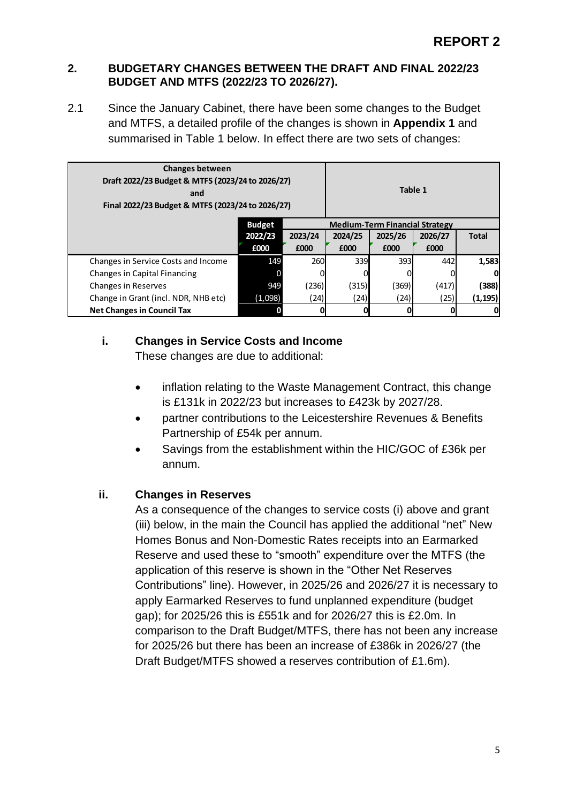#### **2. BUDGETARY CHANGES BETWEEN THE DRAFT AND FINAL 2022/23 BUDGET AND MTFS (2022/23 TO 2026/27).**

2.1 Since the January Cabinet, there have been some changes to the Budget and MTFS, a detailed profile of the changes is shown in **Appendix 1** and summarised in Table 1 below. In effect there are two sets of changes:

| <b>Changes between</b><br>Draft 2022/23 Budget & MTFS (2023/24 to 2026/27)<br>and<br>Final 2022/23 Budget & MTFS (2023/24 to 2026/27) |               |                                            |                                       |         | Table 1 |              |
|---------------------------------------------------------------------------------------------------------------------------------------|---------------|--------------------------------------------|---------------------------------------|---------|---------|--------------|
|                                                                                                                                       | <b>Budget</b> |                                            | <b>Medium-Term Financial Strategy</b> |         |         |              |
|                                                                                                                                       | 2022/23       | 2023/24                                    | 2024/25                               | 2025/26 | 2026/27 | <b>Total</b> |
|                                                                                                                                       | £000          | £000                                       | £000                                  | £000    | £000    |              |
| Changes in Service Costs and Income                                                                                                   | 149           | 260                                        | 339                                   | 393     | 442     | 1,583        |
| Changes in Capital Financing                                                                                                          |               |                                            |                                       |         |         | O            |
| <b>Changes in Reserves</b>                                                                                                            | 949           | (236)                                      | (315)                                 | (369)   | (417)   | (388)        |
| Change in Grant (incl. NDR, NHB etc)                                                                                                  | (1,098)       | (25) <br>(24)<br>(24) <br>(24)<br>(1, 195) |                                       |         |         |              |
| <b>Net Changes in Council Tax</b>                                                                                                     |               |                                            |                                       |         |         | 0            |

## **i. Changes in Service Costs and Income**

These changes are due to additional:

- inflation relating to the Waste Management Contract, this change is £131k in 2022/23 but increases to £423k by 2027/28.
- partner contributions to the Leicestershire Revenues & Benefits Partnership of £54k per annum.
- Savings from the establishment within the HIC/GOC of £36k per annum.

#### **ii. Changes in Reserves**

As a consequence of the changes to service costs (i) above and grant (iii) below, in the main the Council has applied the additional "net" New Homes Bonus and Non-Domestic Rates receipts into an Earmarked Reserve and used these to "smooth" expenditure over the MTFS (the application of this reserve is shown in the "Other Net Reserves Contributions" line). However, in 2025/26 and 2026/27 it is necessary to apply Earmarked Reserves to fund unplanned expenditure (budget gap); for 2025/26 this is £551k and for 2026/27 this is £2.0m. In comparison to the Draft Budget/MTFS, there has not been any increase for 2025/26 but there has been an increase of £386k in 2026/27 (the Draft Budget/MTFS showed a reserves contribution of £1.6m).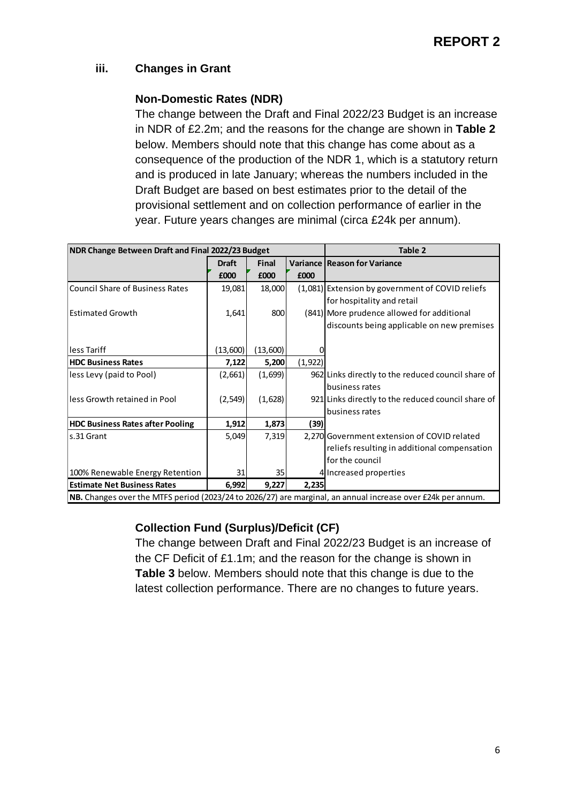### **iii. Changes in Grant**

### **Non-Domestic Rates (NDR)**

The change between the Draft and Final 2022/23 Budget is an increase in NDR of £2.2m; and the reasons for the change are shown in **Table 2** below. Members should note that this change has come about as a consequence of the production of the NDR 1, which is a statutory return and is produced in late January; whereas the numbers included in the Draft Budget are based on best estimates prior to the detail of the provisional settlement and on collection performance of earlier in the year. Future years changes are minimal (circa £24k per annum).

| NDR Change Between Draft and Final 2022/23 Budget |              |              |          | <b>Table 2</b>                                                                                              |
|---------------------------------------------------|--------------|--------------|----------|-------------------------------------------------------------------------------------------------------------|
|                                                   | <b>Draft</b> | <b>Final</b> |          | <b>Variance Reason for Variance</b>                                                                         |
|                                                   | £000         | £000         | £000     |                                                                                                             |
| Council Share of Business Rates                   | 19,081       | 18,000       |          | (1,081) Extension by government of COVID reliefs                                                            |
|                                                   |              |              |          | for hospitality and retail                                                                                  |
| <b>Estimated Growth</b>                           | 1,641        | 800          |          | (841) More prudence allowed for additional                                                                  |
|                                                   |              |              |          | discounts being applicable on new premises                                                                  |
|                                                   |              |              |          |                                                                                                             |
| lless Tariff                                      | (13,600)     | (13,600)     |          |                                                                                                             |
| <b>HDC Business Rates</b>                         | 7,122        | 5,200        | (1, 922) |                                                                                                             |
| less Levy (paid to Pool)                          | (2,661)      | (1,699)      |          | 962 Links directly to the reduced council share of                                                          |
|                                                   |              |              |          | business rates                                                                                              |
| lless Growth retained in Pool                     | (2, 549)     | (1,628)      |          | 921 Links directly to the reduced council share of                                                          |
|                                                   |              |              |          | business rates                                                                                              |
| <b>HDC Business Rates after Pooling</b>           | 1,912        | 1,873        | (39)     |                                                                                                             |
| s.31 Grant                                        | 5,049        | 7,319        |          | 2.270 Government extension of COVID related                                                                 |
|                                                   |              |              |          | reliefs resulting in additional compensation                                                                |
|                                                   |              |              |          | for the council                                                                                             |
| 100% Renewable Energy Retention                   | 31           | 35           |          | 4 Increased properties                                                                                      |
| <b>Estimate Net Business Rates</b>                | 6,992        | 9,227        | 2,235    |                                                                                                             |
|                                                   |              |              |          | NB. Changes over the MTFS period (2023/24 to 2026/27) are marginal, an annual increase over £24k per annum. |

## **Collection Fund (Surplus)/Deficit (CF)**

The change between Draft and Final 2022/23 Budget is an increase of the CF Deficit of £1.1m; and the reason for the change is shown in **Table 3** below. Members should note that this change is due to the latest collection performance. There are no changes to future years.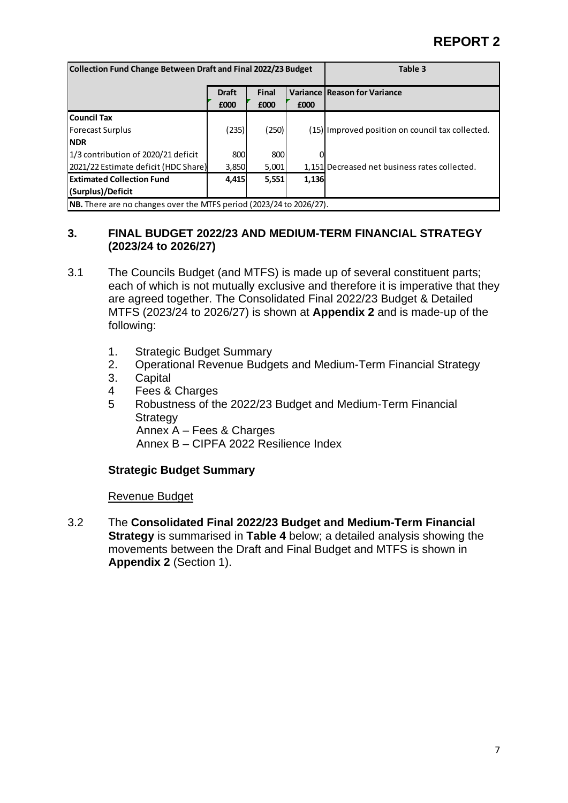| Collection Fund Change Between Draft and Final 2022/23 Budget              | Table 3              |                      |       |                                                  |  |  |  |  |
|----------------------------------------------------------------------------|----------------------|----------------------|-------|--------------------------------------------------|--|--|--|--|
|                                                                            | <b>Draft</b><br>£000 | <b>Final</b><br>£000 | £000  | <b>Variance Reason for Variance</b>              |  |  |  |  |
| Council Tax                                                                |                      |                      |       |                                                  |  |  |  |  |
| <b>Forecast Surplus</b>                                                    | (235)                | (250)                |       | (15) Improved position on council tax collected. |  |  |  |  |
| <b>NDR</b>                                                                 |                      |                      |       |                                                  |  |  |  |  |
| 1/3 contribution of 2020/21 deficit                                        | 800                  | 800                  |       |                                                  |  |  |  |  |
| (2021/22 Estimate deficit (HDC Share)                                      | 3,850                | 5,001                |       | 1,151 Decreased net business rates collected.    |  |  |  |  |
| <b>Extimated Collection Fund</b>                                           | 4,415                | 5,551                | 1,136 |                                                  |  |  |  |  |
| (Surplus)/Deficit                                                          |                      |                      |       |                                                  |  |  |  |  |
| <b>NB.</b> There are no changes over the MTFS period (2023/24 to 2026/27). |                      |                      |       |                                                  |  |  |  |  |

#### **3. FINAL BUDGET 2022/23 AND MEDIUM-TERM FINANCIAL STRATEGY (2023/24 to 2026/27)**

- 3.1 The Councils Budget (and MTFS) is made up of several constituent parts; each of which is not mutually exclusive and therefore it is imperative that they are agreed together. The Consolidated Final 2022/23 Budget & Detailed MTFS (2023/24 to 2026/27) is shown at **Appendix 2** and is made-up of the following:
	- 1. Strategic Budget Summary
	- 2. Operational Revenue Budgets and Medium-Term Financial Strategy
	- 3. Capital
	- 4 Fees & Charges
	- 5 Robustness of the 2022/23 Budget and Medium-Term Financial **Strategy**

Annex A – Fees & Charges

Annex B – CIPFA 2022 Resilience Index

#### **Strategic Budget Summary**

#### Revenue Budget

3.2 The **Consolidated Final 2022/23 Budget and Medium-Term Financial Strategy** is summarised in **Table 4** below; a detailed analysis showing the movements between the Draft and Final Budget and MTFS is shown in **Appendix 2** (Section 1).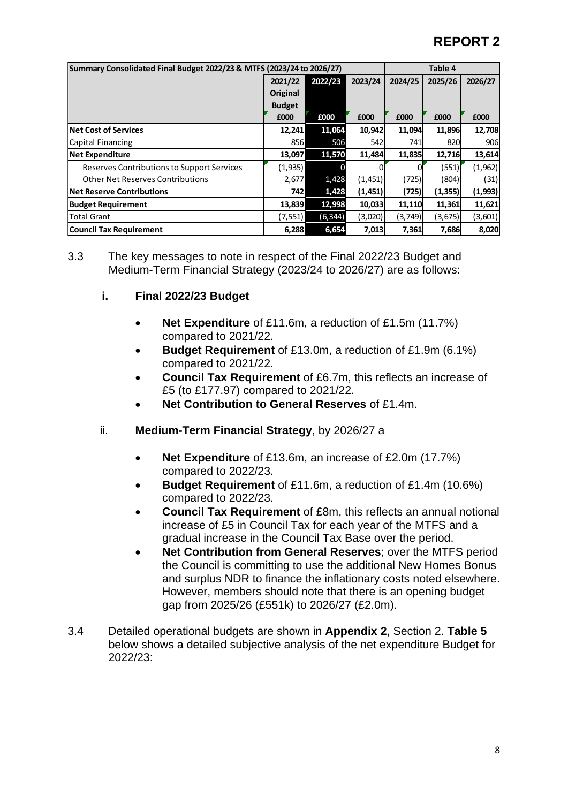|                                            | Summary Consolidated Final Budget 2022/23 & MTFS (2023/24 to 2026/27) |         |          |         |          |          |  |  |
|--------------------------------------------|-----------------------------------------------------------------------|---------|----------|---------|----------|----------|--|--|
|                                            | 2021/22                                                               | 2022/23 | 2023/24  | 2024/25 | 2025/26  | 2026/27  |  |  |
|                                            | Original                                                              |         |          |         |          |          |  |  |
|                                            | <b>Budget</b>                                                         |         |          |         |          |          |  |  |
|                                            | £000                                                                  | £000    | £000     | £000    | £000     | £000     |  |  |
| <b>Net Cost of Services</b>                | 12,241                                                                | 11,064  | 10,942   | 11,094  | 11,896   | 12,708   |  |  |
| Capital Financing                          | 856                                                                   | 506     | 542      | 741     | 820      | 906      |  |  |
| <b>Net Expenditure</b>                     | 13,097                                                                | 11,570  | 11,484   | 11,835  | 12,716   | 13,614   |  |  |
| Reserves Contributions to Support Services | (1, 935)                                                              |         |          |         | (551)    | (1, 962) |  |  |
| <b>Other Net Reserves Contributions</b>    | 2,677                                                                 | 1,428   | (1,451)  | (725)   | (804)    | (31)     |  |  |
| <b>Net Reserve Contributions</b>           | 742                                                                   | 1,428   | (1, 451) | (725)   | (1, 355) | (1,993)  |  |  |
| <b>Budget Requirement</b>                  | 13,839                                                                | 12,998  | 10,033   | 11,110  | 11,361   | 11,621   |  |  |
| <b>Total Grant</b>                         | (7, 551)                                                              | (6,344) | (3,020)  | (3,749) | (3,675)  | (3,601)  |  |  |
| Council Tax Requirement                    | 6,288                                                                 | 6,654   | 7,013    | 7,361   | 7,686    | 8,020    |  |  |

3.3 The key messages to note in respect of the Final 2022/23 Budget and Medium-Term Financial Strategy (2023/24 to 2026/27) are as follows:

#### **i. Final 2022/23 Budget**

- **Net Expenditure** of £11.6m, a reduction of £1.5m (11.7%) compared to 2021/22.
- **Budget Requirement** of £13.0m, a reduction of £1.9m (6.1%) compared to 2021/22.
- **Council Tax Requirement** of £6.7m, this reflects an increase of £5 (to £177.97) compared to 2021/22.
- **Net Contribution to General Reserves** of £1.4m.
- ii. **Medium-Term Financial Strategy**, by 2026/27 a
	- **Net Expenditure** of £13.6m, an increase of £2.0m (17.7%) compared to 2022/23.
	- **Budget Requirement** of £11.6m, a reduction of £1.4m (10.6%) compared to 2022/23.
	- **Council Tax Requirement** of £8m, this reflects an annual notional increase of £5 in Council Tax for each year of the MTFS and a gradual increase in the Council Tax Base over the period.
	- **Net Contribution from General Reserves**; over the MTFS period the Council is committing to use the additional New Homes Bonus and surplus NDR to finance the inflationary costs noted elsewhere. However, members should note that there is an opening budget gap from 2025/26 (£551k) to 2026/27 (£2.0m).
- 3.4 Detailed operational budgets are shown in **Appendix 2**, Section 2. **Table 5** below shows a detailed subjective analysis of the net expenditure Budget for 2022/23: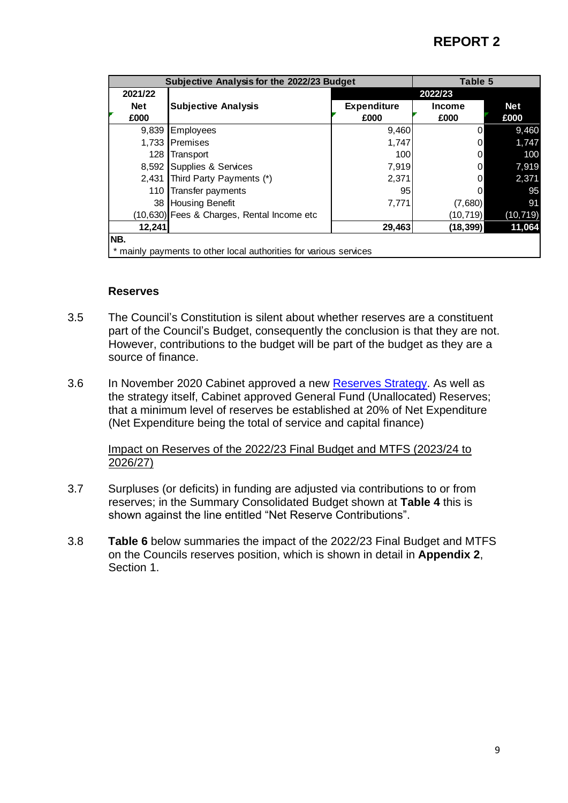|            | Subjective Analysis for the 2022/23 Budget                      |                    |                | <b>Table 5</b> |  |  |  |  |
|------------|-----------------------------------------------------------------|--------------------|----------------|----------------|--|--|--|--|
| 2021/22    |                                                                 |                    | 2022/23        |                |  |  |  |  |
| <b>Net</b> | <b>Subjective Analysis</b>                                      | <b>Expenditure</b> | <b>Income</b>  | <b>Net</b>     |  |  |  |  |
| £000       |                                                                 | £000               | £000           | £000           |  |  |  |  |
| 9,839      | Employees                                                       | 9,460              | $\overline{0}$ | 9,460          |  |  |  |  |
| 1,733      | Premises                                                        | 1,747              | $\overline{0}$ | 1,747          |  |  |  |  |
| 128        | Transport                                                       | 100                | 0              | 100            |  |  |  |  |
| 8,592      | Supplies & Services                                             | 7,919              | 0              | 7,919          |  |  |  |  |
| 2,431      | Third Party Payments (*)                                        | 2,371              | 0              | 2,371          |  |  |  |  |
| 110        | Transfer payments                                               | 95                 | 0              | 95             |  |  |  |  |
| 38         | <b>Housing Benefit</b>                                          | 7,771              | (7,680)        | 91             |  |  |  |  |
|            | (10,630) Fees & Charges, Rental Income etc                      |                    | (10, 719)      | (10, 719)      |  |  |  |  |
| 12,241     |                                                                 | 29,463             | (18, 399)      | 11,064         |  |  |  |  |
| NB.        |                                                                 |                    |                |                |  |  |  |  |
|            | mainly payments to other local authorities for various services |                    |                |                |  |  |  |  |

#### **Reserves**

- 3.5 The Council's Constitution is silent about whether reserves are a constituent part of the Council's Budget, consequently the conclusion is that they are not. However, contributions to the budget will be part of the budget as they are a source of finance.
- 3.6 In November 2020 Cabinet approved a new [Reserves Strategy.](https://cmis.harborough.gov.uk/CMIS5/Document.ashx?czJKcaeAi5tUFL1DTL2UE4zNRBcoShgo=LhprB32sCPrEZBz7%2bwPlLIVGcqwC%2fGdn5vUFArmRn4v8zVV%2fObFdUQ%3d%3d&rUzwRPf%2bZ3zd4E7Ikn8Lyw%3d%3d=pwRE6AGJFLDNlh225F5QMaQWCtPHwdhUfCZ%2fLUQzgA2uL5jNRG4jdQ%3d%3d&mCTIbCubSFfXsDGW9IXnlg%3d%3d=hFflUdN3100%3d&kCx1AnS9%2fpWZQ40DXFvdEw%3d%3d=hFflUdN3100%3d&uJovDxwdjMPoYv%2bAJvYtyA%3d%3d=ctNJFf55vVA%3d&FgPlIEJYlotS%2bYGoBi5olA%3d%3d=NHdURQburHA%3d&d9Qjj0ag1Pd993jsyOJqFvmyB7X0CSQK=ctNJFf55vVA%3d&WGewmoAfeNR9xqBux0r1Q8Za60lavYmz=ctNJFf55vVA%3d&WGewmoAfeNQ16B2MHuCpMRKZMwaG1PaO=ctNJFf55vVA%3d) As well as the strategy itself, Cabinet approved General Fund (Unallocated) Reserves; that a minimum level of reserves be established at 20% of Net Expenditure (Net Expenditure being the total of service and capital finance)

#### Impact on Reserves of the 2022/23 Final Budget and MTFS (2023/24 to 2026/27)

- 3.7 Surpluses (or deficits) in funding are adjusted via contributions to or from reserves; in the Summary Consolidated Budget shown at **Table 4** this is shown against the line entitled "Net Reserve Contributions".
- 3.8 **Table 6** below summaries the impact of the 2022/23 Final Budget and MTFS on the Councils reserves position, which is shown in detail in **Appendix 2**, Section 1.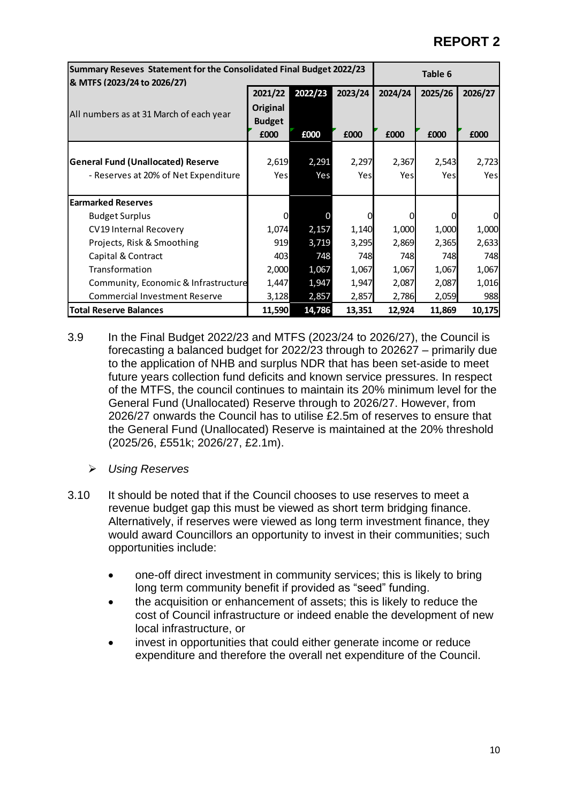| Summary Reseves Statement for the Consolidated Final Budget 2022/23<br>& MTFS (2023/24 to 2026/27) | Table 6         |         |         |         |         |         |
|----------------------------------------------------------------------------------------------------|-----------------|---------|---------|---------|---------|---------|
|                                                                                                    | 2021/22         | 2022/23 | 2023/24 | 2024/24 | 2025/26 | 2026/27 |
|                                                                                                    | <b>Original</b> |         |         |         |         |         |
| All numbers as at 31 March of each year                                                            | <b>Budget</b>   |         |         |         |         |         |
|                                                                                                    | £000            | £000    | £000    | £000    | £000    | £000    |
|                                                                                                    |                 |         |         |         |         |         |
| <b>General Fund (Unallocated) Reserve</b>                                                          | 2,619           | 2,291   | 2,297   | 2,367   | 2,543   | 2,723   |
| - Reserves at 20% of Net Expenditure                                                               | Yes             | Yes     | Yes     | Yes     | Yesl    | Yesl    |
|                                                                                                    |                 |         |         |         |         |         |
| <b>Earmarked Reserves</b>                                                                          |                 |         |         |         |         |         |
| <b>Budget Surplus</b>                                                                              | 0               |         | 0       |         |         | 0       |
| CV19 Internal Recovery                                                                             | 1,074           | 2,157   | 1,140   | 1,000   | 1,000   | 1,000   |
| Projects, Risk & Smoothing                                                                         | 919             | 3,719   | 3,295   | 2,869   | 2,365   | 2,633   |
| Capital & Contract                                                                                 | 403             | 748     | 748     | 748     | 748     | 748     |
| Transformation                                                                                     | 2,000           | 1,067   | 1,067   | 1,067   | 1,067   | 1,067   |
| Community, Economic & Infrastructure                                                               | 1,447           | 1,947   | 1,947   | 2,087   | 2,087   | 1,016   |
| <b>Commercial Investment Reserve</b>                                                               | 3,128           | 2,857   | 2,857   | 2,786   | 2,059   | 988     |
| <b>Total Reserve Balances</b>                                                                      | 11,590          | 14,786  | 13,351  | 12,924  | 11,869  | 10,175  |

- 3.9 In the Final Budget 2022/23 and MTFS (2023/24 to 2026/27), the Council is forecasting a balanced budget for 2022/23 through to 202627 – primarily due to the application of NHB and surplus NDR that has been set-aside to meet future years collection fund deficits and known service pressures. In respect of the MTFS, the council continues to maintain its 20% minimum level for the General Fund (Unallocated) Reserve through to 2026/27. However, from 2026/27 onwards the Council has to utilise £2.5m of reserves to ensure that the General Fund (Unallocated) Reserve is maintained at the 20% threshold (2025/26, £551k; 2026/27, £2.1m).
	- ➢ *Using Reserves*
- 3.10 It should be noted that if the Council chooses to use reserves to meet a revenue budget gap this must be viewed as short term bridging finance. Alternatively, if reserves were viewed as long term investment finance, they would award Councillors an opportunity to invest in their communities; such opportunities include:
	- one-off direct investment in community services; this is likely to bring long term community benefit if provided as "seed" funding.
	- the acquisition or enhancement of assets; this is likely to reduce the cost of Council infrastructure or indeed enable the development of new local infrastructure, or
	- invest in opportunities that could either generate income or reduce expenditure and therefore the overall net expenditure of the Council.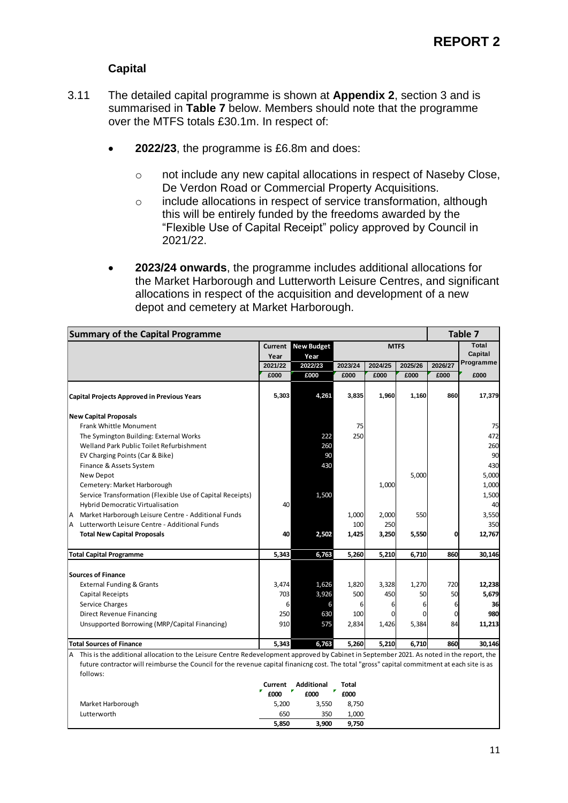#### **Capital**

- 3.11 The detailed capital programme is shown at **Appendix 2**, section 3 and is summarised in **Table 7** below. Members should note that the programme over the MTFS totals £30.1m. In respect of:
	- **2022/23**, the programme is £6.8m and does:
		- o not include any new capital allocations in respect of Naseby Close, De Verdon Road or Commercial Property Acquisitions.
		- o include allocations in respect of service transformation, although this will be entirely funded by the freedoms awarded by the "Flexible Use of Capital Receipt" policy approved by Council in 2021/22.
	- **2023/24 onwards**, the programme includes additional allocations for the Market Harborough and Lutterworth Leisure Centres, and significant allocations in respect of the acquisition and development of a new depot and cemetery at Market Harborough.

| <b>Summary of the Capital Programme</b>                                                                                                       |                 | Table 7            |              |         |             |         |                  |
|-----------------------------------------------------------------------------------------------------------------------------------------------|-----------------|--------------------|--------------|---------|-------------|---------|------------------|
|                                                                                                                                               | Current<br>Year | New Budget<br>Year |              |         | <b>MTFS</b> |         | Total<br>Capital |
|                                                                                                                                               | 2021/22         | 2022/23            | 2023/24      | 2024/25 | 2025/26     | 2026/27 | Programme        |
|                                                                                                                                               | £000            | £000               | £000         | £000    | £000        | £000    | £000             |
| <b>Capital Projects Approved in Previous Years</b>                                                                                            | 5,303           | 4,261              | 3,835        | 1,960   | 1,160       | 860     | 17,379           |
| <b>New Capital Proposals</b>                                                                                                                  |                 |                    |              |         |             |         |                  |
| Frank Whittle Monument                                                                                                                        |                 |                    | 75           |         |             |         | 75               |
| The Symington Building: External Works                                                                                                        |                 | 222                | 250          |         |             |         | 472              |
| Welland Park Public Toilet Refurbishment                                                                                                      |                 | 260                |              |         |             |         | 260              |
| EV Charging Points (Car & Bike)                                                                                                               |                 | 90                 |              |         |             |         | 90               |
| Finance & Assets System                                                                                                                       |                 | 430                |              |         |             |         | 430              |
| New Depot                                                                                                                                     |                 |                    |              |         | 5,000       |         | 5,000            |
| Cemetery: Market Harborough                                                                                                                   |                 |                    |              | 1,000   |             |         | 1,000            |
| Service Transformation (Flexible Use of Capital Receipts)                                                                                     |                 | 1,500              |              |         |             |         | 1,500            |
| Hybrid Democratic Virtualisation                                                                                                              | 40              |                    |              |         |             |         | 40               |
| Market Harborough Leisure Centre - Additional Funds                                                                                           |                 |                    | 1,000        | 2,000   | 550         |         | 3,550            |
| Lutterworth Leisure Centre - Additional Funds<br>A                                                                                            |                 |                    | 100          | 250     |             |         | 350              |
| <b>Total New Capital Proposals</b>                                                                                                            | 40              | 2,502              | 1,425        | 3,250   | 5,550       | 0       | 12,767           |
| <b>Total Capital Programme</b>                                                                                                                | 5,343           | 6,763              | 5,260        | 5,210   | 6,710       | 860     | 30,146           |
|                                                                                                                                               |                 |                    |              |         |             |         |                  |
| <b>Sources of Finance</b>                                                                                                                     |                 |                    |              |         |             |         |                  |
| <b>External Funding &amp; Grants</b>                                                                                                          | 3,474           | 1,626              | 1,820        | 3,328   | 1,270       | 720     | 12,238           |
| Capital Receipts                                                                                                                              | 703             | 3,926              | 500          | 450     | 50          | 50      | 5,679            |
| Service Charges                                                                                                                               | 6               |                    | 6            | 6       | 6           | 6       | 36               |
| Direct Revenue Financing                                                                                                                      | 250             | 630                | 100          | 0       | 0           | 0       | 980              |
| Unsupported Borrowing (MRP/Capital Financing)                                                                                                 | 910             | 575                | 2,834        | 1,426   | 5,384       | 84      | 11,213           |
| <b>Total Sources of Finance</b>                                                                                                               | 5,343           | 6,763              | 5,260        | 5,210   | 6,710       | 860     | 30,146           |
| This is the additional allocation to the Leisure Centre Redevelopment approved by Cabinet in September 2021. As noted in the report, the<br>Α |                 |                    |              |         |             |         |                  |
| future contractor will reimburse the Council for the revenue capital finanicng cost. The total "gross" capital commitment at each site is as  |                 |                    |              |         |             |         |                  |
| follows:                                                                                                                                      |                 |                    |              |         |             |         |                  |
|                                                                                                                                               | Current         | Additional         | <b>Total</b> |         |             |         |                  |
|                                                                                                                                               | ₹<br>£000       | £000               | £000         |         |             |         |                  |
| Market Harborough                                                                                                                             | 5,200           | 3,550              | 8,750        |         |             |         |                  |
| Lutterworth                                                                                                                                   | 650             | 350                | 1,000        |         |             |         |                  |
|                                                                                                                                               | 5,850           | 3,900              | 9,750        |         |             |         |                  |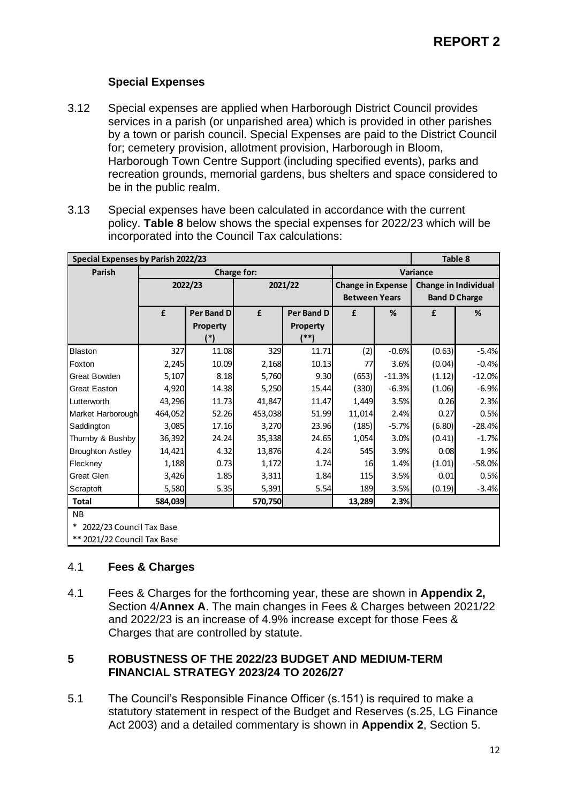#### **Special Expenses**

- 3.12 Special expenses are applied when Harborough District Council provides services in a parish (or unparished area) which is provided in other parishes by a town or parish council. Special Expenses are paid to the District Council for; cemetery provision, allotment provision, Harborough in Bloom, Harborough Town Centre Support (including specified events), parks and recreation grounds, memorial gardens, bus shelters and space considered to be in the public realm.
- 3.13 Special expenses have been calculated in accordance with the current policy. **Table 8** below shows the special expenses for 2022/23 which will be incorporated into the Council Tax calculations:

| <b>Special Expenses by Parish 2022/23</b> |         |            |             |                   |                          |          |                             | Table 8  |  |
|-------------------------------------------|---------|------------|-------------|-------------------|--------------------------|----------|-----------------------------|----------|--|
| Parish                                    |         |            | Charge for: |                   |                          |          | Variance                    |          |  |
|                                           |         | 2022/23    |             | 2021/22           | <b>Change in Expense</b> |          | <b>Change in Individual</b> |          |  |
|                                           |         |            |             |                   | <b>Between Years</b>     |          | <b>Band D Charge</b>        |          |  |
|                                           | £       | Per Band D | £           | <b>Per Band D</b> | £                        | %        | £                           | %        |  |
|                                           |         | Property   |             | Property          |                          |          |                             |          |  |
|                                           |         | $(*)$      |             | (**)              |                          |          |                             |          |  |
| Blaston                                   | 327     | 11.08      | 329         | 11.71             | (2)                      | $-0.6%$  | (0.63)                      | $-5.4%$  |  |
| Foxton                                    | 2,245   | 10.09      | 2,168       | 10.13             | 77                       | 3.6%     | (0.04)                      | $-0.4%$  |  |
| <b>Great Bowden</b>                       | 5,107   | 8.18       | 5,760       | 9.30              | (653)                    | $-11.3%$ | (1.12)                      | $-12.0%$ |  |
| <b>Great Easton</b>                       | 4,920   | 14.38      | 5,250       | 15.44             | (330)                    | $-6.3%$  | (1.06)                      | $-6.9%$  |  |
| Lutterworth                               | 43,296  | 11.73      | 41,847      | 11.47             | 1,449                    | 3.5%     | 0.26                        | 2.3%     |  |
| Market Harborough                         | 464,052 | 52.26      | 453,038     | 51.99             | 11,014                   | 2.4%     | 0.27                        | 0.5%     |  |
| Saddington                                | 3,085   | 17.16      | 3,270       | 23.96             | (185)                    | $-5.7%$  | (6.80)                      | $-28.4%$ |  |
| Thurnby & Bushby                          | 36,392  | 24.24      | 35,338      | 24.65             | 1,054                    | 3.0%     | (0.41)                      | $-1.7%$  |  |
| <b>Broughton Astley</b>                   | 14,421  | 4.32       | 13,876      | 4.24              | 545                      | 3.9%     | 0.08                        | 1.9%     |  |
| Fleckney                                  | 1,188   | 0.73       | 1,172       | 1.74              | 16                       | 1.4%     | (1.01)                      | $-58.0%$ |  |
| <b>Great Glen</b>                         | 3,426   | 1.85       | 3,311       | 1.84              | 115                      | 3.5%     | 0.01                        | 0.5%     |  |
| Scraptoft                                 | 5,580   | 5.35       | 5,391       | 5.54              | 189                      | 3.5%     | (0.19)                      | $-3.4%$  |  |
| <b>Total</b>                              | 584,039 |            | 570,750     |                   | 13,289                   | 2.3%     |                             |          |  |
| <b>NB</b>                                 |         |            |             |                   |                          |          |                             |          |  |
| $\ast$<br>2022/23 Council Tax Base        |         |            |             |                   |                          |          |                             |          |  |
| ** 2021/22 Council Tax Base               |         |            |             |                   |                          |          |                             |          |  |

#### 4.1 **Fees & Charges**

4.1 Fees & Charges for the forthcoming year, these are shown in **Appendix 2,** Section 4/**Annex A**. The main changes in Fees & Charges between 2021/22 and 2022/23 is an increase of 4.9% increase except for those Fees & Charges that are controlled by statute.

#### **5 ROBUSTNESS OF THE 2022/23 BUDGET AND MEDIUM-TERM FINANCIAL STRATEGY 2023/24 TO 2026/27**

5.1 The Council's Responsible Finance Officer (s.151) is required to make a statutory statement in respect of the Budget and Reserves (s.25, LG Finance Act 2003) and a detailed commentary is shown in **Appendix 2**, Section 5.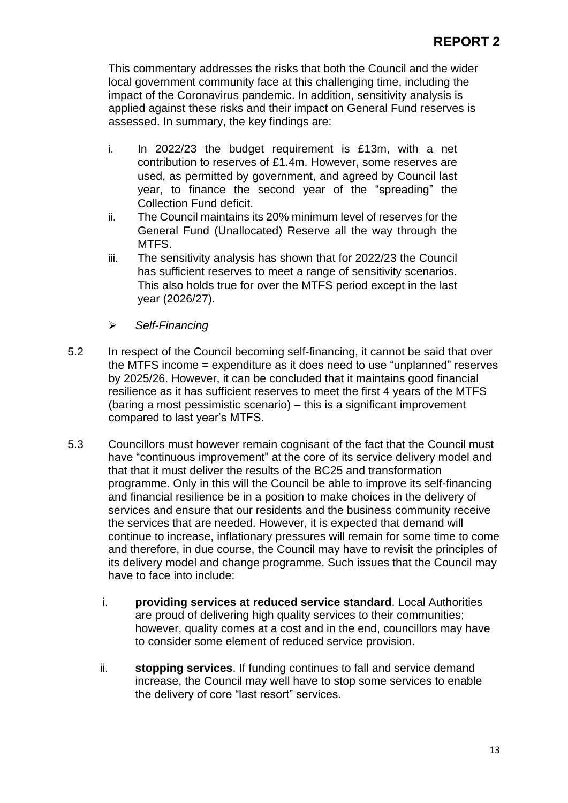This commentary addresses the risks that both the Council and the wider local government community face at this challenging time, including the impact of the Coronavirus pandemic. In addition, sensitivity analysis is applied against these risks and their impact on General Fund reserves is assessed. In summary, the key findings are:

- i. In 2022/23 the budget requirement is £13m, with a net contribution to reserves of £1.4m. However, some reserves are used, as permitted by government, and agreed by Council last year, to finance the second year of the "spreading" the Collection Fund deficit.
- ii. The Council maintains its 20% minimum level of reserves for the General Fund (Unallocated) Reserve all the way through the MTFS.
- iii. The sensitivity analysis has shown that for 2022/23 the Council has sufficient reserves to meet a range of sensitivity scenarios. This also holds true for over the MTFS period except in the last year (2026/27).
- ➢ *Self-Financing*
- 5.2 In respect of the Council becoming self-financing, it cannot be said that over the MTFS income = expenditure as it does need to use "unplanned" reserves by 2025/26. However, it can be concluded that it maintains good financial resilience as it has sufficient reserves to meet the first 4 years of the MTFS (baring a most pessimistic scenario) – this is a significant improvement compared to last year's MTFS.
- 5.3 Councillors must however remain cognisant of the fact that the Council must have "continuous improvement" at the core of its service delivery model and that that it must deliver the results of the BC25 and transformation programme. Only in this will the Council be able to improve its self-financing and financial resilience be in a position to make choices in the delivery of services and ensure that our residents and the business community receive the services that are needed. However, it is expected that demand will continue to increase, inflationary pressures will remain for some time to come and therefore, in due course, the Council may have to revisit the principles of its delivery model and change programme. Such issues that the Council may have to face into include:
	- i. **providing services at reduced service standard**. Local Authorities are proud of delivering high quality services to their communities; however, quality comes at a cost and in the end, councillors may have to consider some element of reduced service provision.
	- ii. **stopping services**. If funding continues to fall and service demand increase, the Council may well have to stop some services to enable the delivery of core "last resort" services.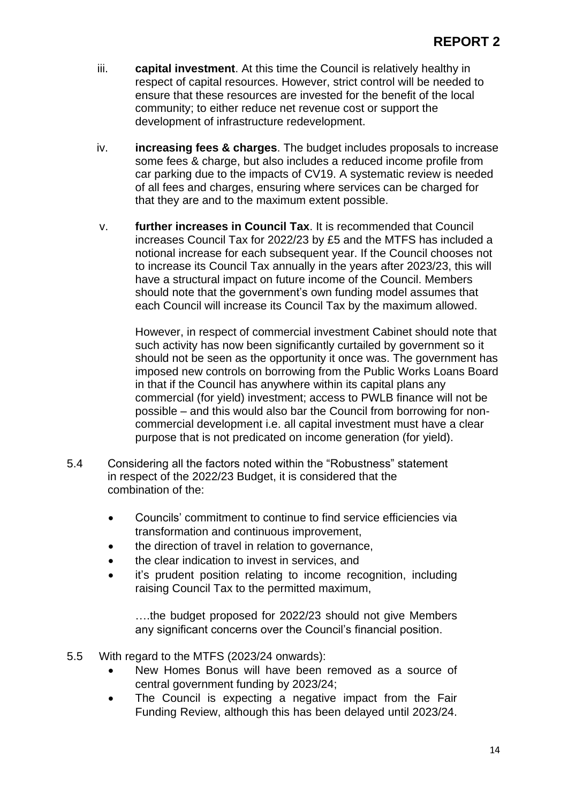- iii. **capital investment**. At this time the Council is relatively healthy in respect of capital resources. However, strict control will be needed to ensure that these resources are invested for the benefit of the local community; to either reduce net revenue cost or support the development of infrastructure redevelopment.
- iv. **increasing fees & charges**. The budget includes proposals to increase some fees & charge, but also includes a reduced income profile from car parking due to the impacts of CV19. A systematic review is needed of all fees and charges, ensuring where services can be charged for that they are and to the maximum extent possible.
- v. **further increases in Council Tax**. It is recommended that Council increases Council Tax for 2022/23 by £5 and the MTFS has included a notional increase for each subsequent year. If the Council chooses not to increase its Council Tax annually in the years after 2023/23, this will have a structural impact on future income of the Council. Members should note that the government's own funding model assumes that each Council will increase its Council Tax by the maximum allowed.

However, in respect of commercial investment Cabinet should note that such activity has now been significantly curtailed by government so it should not be seen as the opportunity it once was. The government has imposed new controls on borrowing from the Public Works Loans Board in that if the Council has anywhere within its capital plans any commercial (for yield) investment; access to PWLB finance will not be possible – and this would also bar the Council from borrowing for noncommercial development i.e. all capital investment must have a clear purpose that is not predicated on income generation (for yield).

- 5.4 Considering all the factors noted within the "Robustness" statement in respect of the 2022/23 Budget, it is considered that the combination of the:
	- Councils' commitment to continue to find service efficiencies via transformation and continuous improvement,
	- the direction of travel in relation to governance,
	- the clear indication to invest in services, and
	- it's prudent position relating to income recognition, including raising Council Tax to the permitted maximum,

….the budget proposed for 2022/23 should not give Members any significant concerns over the Council's financial position.

- 5.5 With regard to the MTFS (2023/24 onwards):
	- New Homes Bonus will have been removed as a source of central government funding by 2023/24;
	- The Council is expecting a negative impact from the Fair Funding Review, although this has been delayed until 2023/24.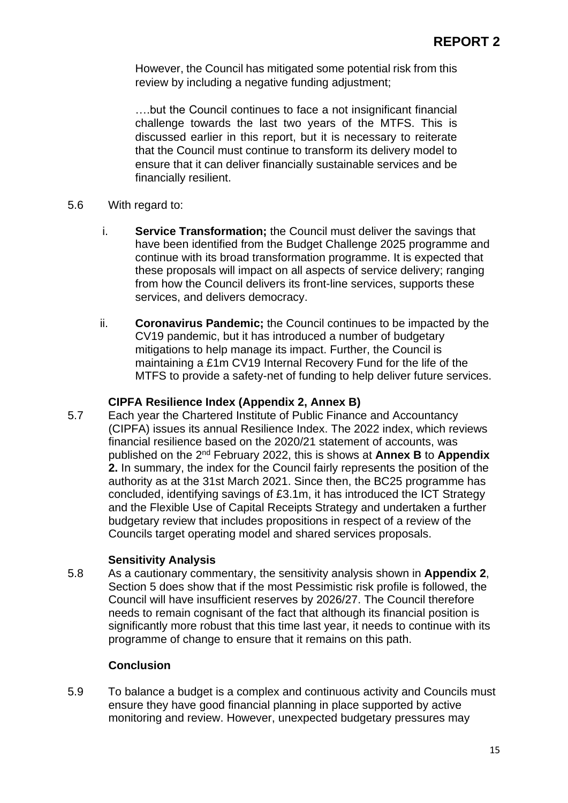However, the Council has mitigated some potential risk from this review by including a negative funding adjustment;

….but the Council continues to face a not insignificant financial challenge towards the last two years of the MTFS. This is discussed earlier in this report, but it is necessary to reiterate that the Council must continue to transform its delivery model to ensure that it can deliver financially sustainable services and be financially resilient.

- 5.6 With regard to:
	- i. **Service Transformation;** the Council must deliver the savings that have been identified from the Budget Challenge 2025 programme and continue with its broad transformation programme. It is expected that these proposals will impact on all aspects of service delivery; ranging from how the Council delivers its front-line services, supports these services, and delivers democracy.
	- ii. **Coronavirus Pandemic;** the Council continues to be impacted by the CV19 pandemic, but it has introduced a number of budgetary mitigations to help manage its impact. Further, the Council is maintaining a £1m CV19 Internal Recovery Fund for the life of the MTFS to provide a safety-net of funding to help deliver future services.

#### **CIPFA Resilience Index (Appendix 2, Annex B)**

5.7 Each year the Chartered Institute of Public Finance and Accountancy (CIPFA) issues its annual Resilience Index. The 2022 index, which reviews financial resilience based on the 2020/21 statement of accounts, was published on the 2<sup>nd</sup> February 2022, this is shows at **Annex B** to **Appendix 2.** In summary, the index for the Council fairly represents the position of the authority as at the 31st March 2021. Since then, the BC25 programme has concluded, identifying savings of £3.1m, it has introduced the ICT Strategy and the Flexible Use of Capital Receipts Strategy and undertaken a further budgetary review that includes propositions in respect of a review of the Councils target operating model and shared services proposals.

#### **Sensitivity Analysis**

5.8 As a cautionary commentary, the sensitivity analysis shown in **Appendix 2**, Section 5 does show that if the most Pessimistic risk profile is followed, the Council will have insufficient reserves by 2026/27. The Council therefore needs to remain cognisant of the fact that although its financial position is significantly more robust that this time last year, it needs to continue with its programme of change to ensure that it remains on this path.

#### **Conclusion**

5.9 To balance a budget is a complex and continuous activity and Councils must ensure they have good financial planning in place supported by active monitoring and review. However, unexpected budgetary pressures may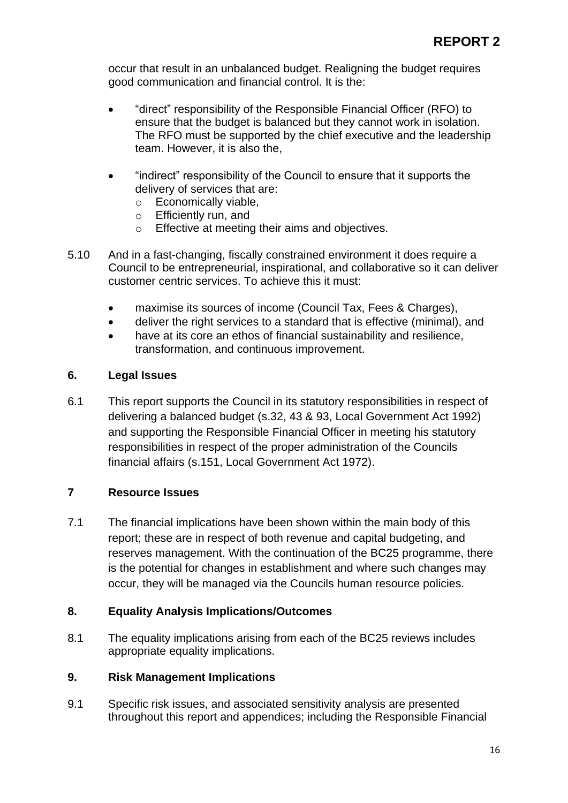occur that result in an unbalanced budget. Realigning the budget requires good communication and financial control. It is the:

- "direct" responsibility of the Responsible Financial Officer (RFO) to ensure that the budget is balanced but they cannot work in isolation. The RFO must be supported by the chief executive and the leadership team. However, it is also the,
- "indirect" responsibility of the Council to ensure that it supports the delivery of services that are:
	- o Economically viable,
	- o Efficiently run, and
	- o Effective at meeting their aims and objectives.
- 5.10 And in a fast-changing, fiscally constrained environment it does require a Council to be entrepreneurial, inspirational, and collaborative so it can deliver customer centric services. To achieve this it must:
	- maximise its sources of income (Council Tax, Fees & Charges),
	- deliver the right services to a standard that is effective (minimal), and
	- have at its core an ethos of financial sustainability and resilience, transformation, and continuous improvement.

#### **6. Legal Issues**

6.1 This report supports the Council in its statutory responsibilities in respect of delivering a balanced budget (s.32, 43 & 93, Local Government Act 1992) and supporting the Responsible Financial Officer in meeting his statutory responsibilities in respect of the proper administration of the Councils financial affairs (s.151, Local Government Act 1972).

#### **7 Resource Issues**

7.1 The financial implications have been shown within the main body of this report; these are in respect of both revenue and capital budgeting, and reserves management. With the continuation of the BC25 programme, there is the potential for changes in establishment and where such changes may occur, they will be managed via the Councils human resource policies.

#### **8. Equality Analysis Implications/Outcomes**

8.1 The equality implications arising from each of the BC25 reviews includes appropriate equality implications.

#### **9. Risk Management Implications**

9.1 Specific risk issues, and associated sensitivity analysis are presented throughout this report and appendices; including the Responsible Financial